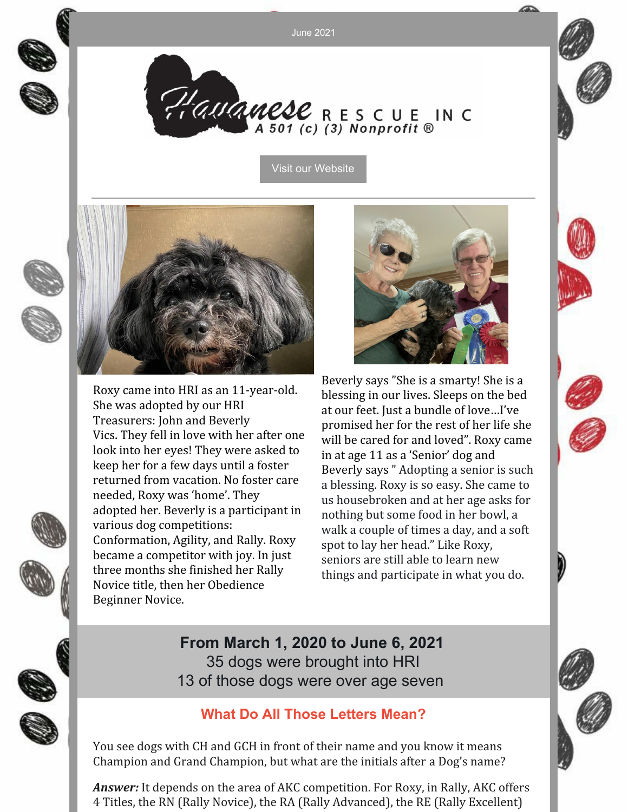June 2021

Plauanese RESCUE IN C

Visit our [Website](http://havaneserescue.com)

Roxy came into HRI as an 11-year-old. She was adopted by our HRI Treasurers: John and Beverly Vics. They fell in love with her after one look into her eyes! They were asked to keep her for a few days until a foster returned from vacation. No foster care needed, Roxy was 'home'. They adopted her. Beverly is a participant in various dog competitions: Conformation, Agility, and Rally. Roxy became a competitor with joy. In just three months she finished her Rally Novice title, then her Obedience Beginner Novice.



Beverly says "She is a smarty! She is a blessing in our lives. Sleeps on the bed at our feet. Just a bundle of love…I've promised her for the rest of her life she will be cared for and loved". Roxy came in at age 11 as a 'Senior' dog and Beverly says " Adopting a senior is such a blessing. Roxy is so easy. She came to us housebroken and at her age asks for nothing but some food in her bowl, a walk a couple of times a day, and a soft spot to lay her head." Like Roxy, seniors are still able to learn new things and participate in what you do.

**From March 1, 2020 to June 6, 2021** 35 dogs were brought into HRI 13 of those dogs were over age seven

### **What Do All Those Letters Mean?**

You see dogs with CH and GCH in front of their name and you know it means Champion and Grand Champion, but what are the initials after a Dog's name?

*Answer:* It depends on the area of AKC competition. For Roxy, in Rally, AKC offers 4 Titles, the RN (Rally Novice), the RA (Rally Advanced), the RE (Rally Excellent)



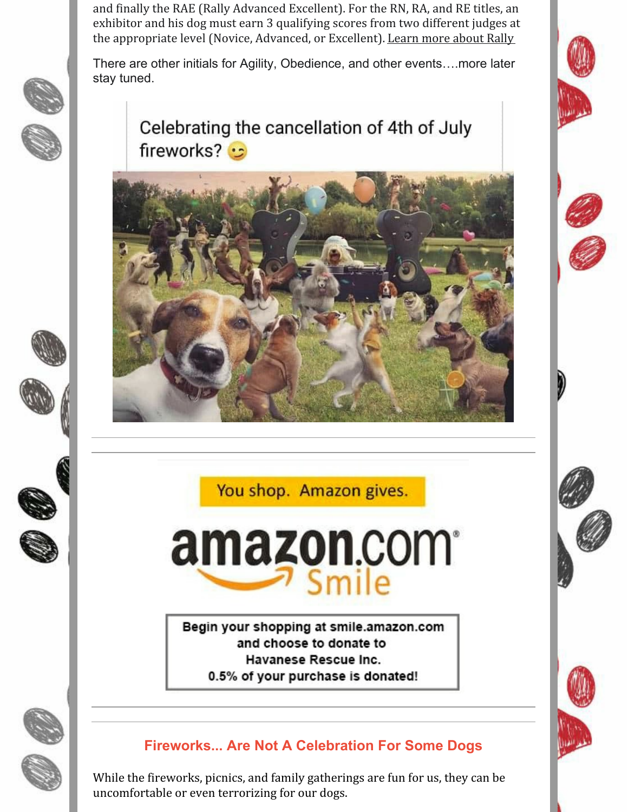and finally the RAE (Rally Advanced Excellent). For the RN, RA, and RE titles, an exhibitor and his dog must earn 3 qualifying scores from two different judges at the appropriate level (Novice, Advanced, or Excellent). [Learn](https://www.akc.org/sports/rally/) more about Rally

There are other initials for Agility, Obedience, and other events….more later stay tuned.



# Celebrating the cancellation of 4th of July fireworks? •



You shop. Amazon gives.



Begin your shopping at smile.amazon.com and choose to donate to Havanese Rescue Inc. 0.5% of your purchase is donated!



## **Fireworks... Are Not A Celebration For Some Dogs**

While the fireworks, picnics, and family gatherings are fun for us, they can be uncomfortable or even terrorizing for our dogs.